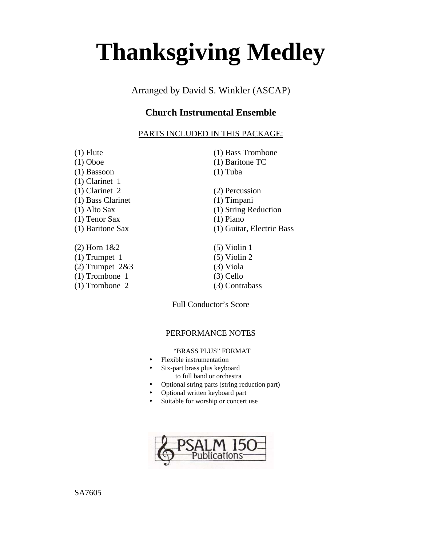# **Thanksgiving Medley**

Arranged by David S. Winkler (ASCAP)

# **Church Instrumental Ensemble**

# PARTS INCLUDED IN THIS PACKAGE:

| $(1)$ Flute         | (1) Bass Trombone         |  |
|---------------------|---------------------------|--|
| $(1)$ Oboe          | $(1)$ Baritone TC         |  |
| $(1)$ Bassoon       | $(1)$ Tuba                |  |
| $(1)$ Clarinet 1    |                           |  |
| $(1)$ Clarinet 2    | (2) Percussion            |  |
| (1) Bass Clarinet   | $(1)$ Timpani             |  |
| (1) Alto Sax        | (1) String Reduction      |  |
| (1) Tenor Sax       | $(1)$ Piano               |  |
| (1) Baritone Sax    | (1) Guitar, Electric Bass |  |
| $(2)$ Horn $1&&2$   | $(5)$ Violin 1            |  |
| $(1)$ Trumpet 1     | $(5)$ Violin 2            |  |
| $(2)$ Trumpet $2&3$ | $(3)$ Viola               |  |
| $(1)$ Trombone 1    | $(3)$ Cello               |  |
| $(1)$ Trombone 2    | (3) Contrabass            |  |
|                     |                           |  |

Full Conductor's Score

## PERFORMANCE NOTES

"BRASS PLUS" FORMAT

- Flexible instrumentation
- Six-part brass plus keyboard to full band or orchestra
- Optional string parts (string reduction part)
- Optional written keyboard part
- Suitable for worship or concert use